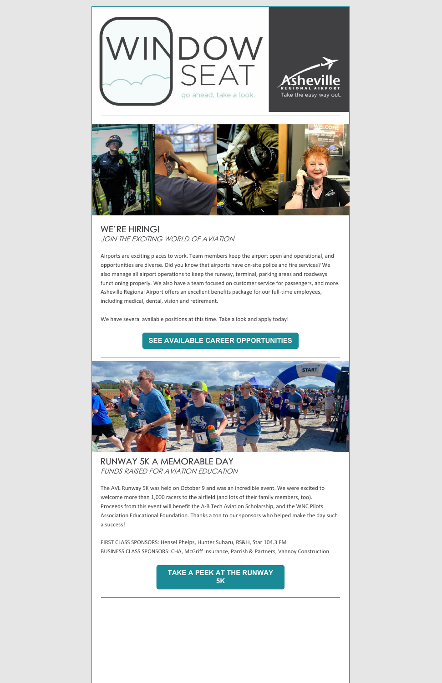



## WE'RE HIRING! JOIN THE EXCITING WORLD OF AVIATION

Airports are exciting places to work. Team members keep the airport open and operational, and opportunities are diverse. Did you know that airports have on-site police and fire services? We also manage all airport operations to keep the runway, terminal, parking areas and roadways functioning properly. We also have a team focused on customer service for passengers, and more. Asheville Regional Airport offers an excellent benefits package for our full-time employees, including medical, dental, vision and retirement.

We have several available positions at this time. Take a look and apply today!

## **SEE AVAILABLE CAREER [OPPORTUNITIES](https://flyavl.com/careers)**



RUNWAY 5K A MEMORABLE DAY FUNDS RAISED FOR AVIATION EDUCATION

The AVL Runway 5K was held on October 9 and was an incredible event. We were excited to welcome more than 1,000 racers to the airfield (and lots of their family members, too).

Proceeds from this event will benefit the A-B Tech Aviation Scholarship, and the WNC Pilots Association Educational Foundation. Thanks a ton to our sponsors who helped make the day such a success!

FIRST CLASS SPONSORS: Hensel Phelps, Hunter Subaru, RS&H, Star 104.3 FM BUSINESS CLASS SPONSORS: CHA, McGriff Insurance, Parrish & Partners, Vannoy Construction

> **TAKE A PEEK AT THE [RUNWAY](https://fb.watch/8SCNDCfPYv/) 5K**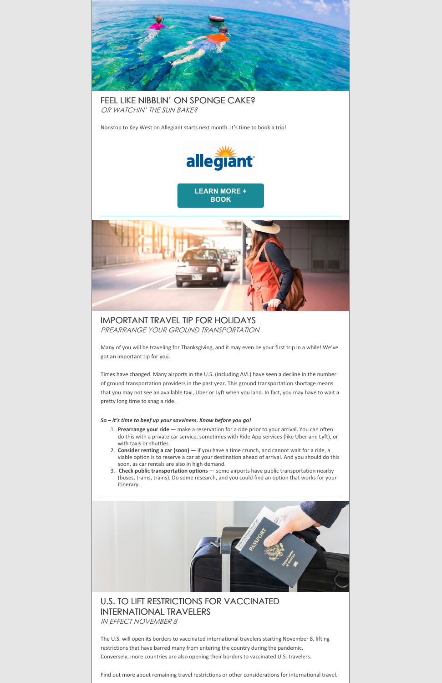

FEEL LIKE NIBBLIN' ON SPONGE CAKE? OR WATCHIN' THE SUN BAKE?

Nonstop to Key West on Allegiant starts next month. It's time to book a trip!



**[LEARN](https://flyavl.com/flights-and-airlines/book-a-trip) MORE + BOOK**



IMPORTANT TRAVEL TIP FOR HOLIDAYS PREARRANGE YOUR GROUND TRANSPORTATION

Many of you will be traveling for Thanksgiving, and it may even be your first trip in a while! We've got an important tip for you.

Times have changed. Many airports in the U.S. (including AVL) have seen a decline in the number of ground transportation providers in the past year. This ground transportation shortage means that you may not see an available taxi, Uber or Lyft when you land. In fact, you may have to wait a pretty long time to snag a ride.

## *So – it's time to beef up your savviness. Know before you go!*

- 1. **Prearrange your ride** make a reservation for a ride prior to your arrival. You can often do this with a private car service, sometimes with Ride App services (like Uber and Lyft), or with taxis or shuttles.
- 2. **Consider renting a car (soon)** if you have a time crunch, and cannot wait for a ride, a viable option is to reserve a car at your destination ahead of arrival. And you should do this soon, as car rentals are also in high demand.
- 3. **Check public transportation options —** some airports have public transportation nearby (buses, trams, trains). Do some research, and you could find an option that works for your itinerary.



## U.S. TO LIFT RESTRICTIONS FOR VACCINATED INTERNATIONAL TRAVELERS IN EFFECT NOVEMBER 8

The U.S. will open its borders to vaccinated international travelers starting November 8, lifting restrictions that have barred many from entering the country during the pandemic. Conversely, more countries are also opening their borders to vaccinated U.S. travelers.

Find out more about remaining travel restrictions or other considerations for international travel.